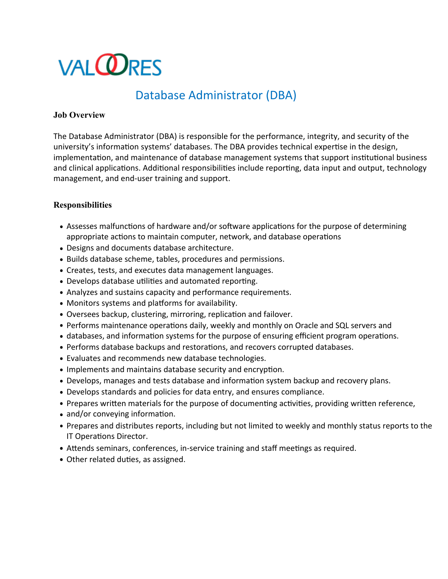# **VALCORES**

## Database Administrator (DBA)

#### **Job Overview**

The Database Administrator (DBA) is responsible for the performance, integrity, and security of the university's information systems' databases. The DBA provides technical expertise in the design, implementation, and maintenance of database management systems that support institutional business and clinical applications. Additional responsibilities include reporting, data input and output, technology management, and end-user training and support.

### **Responsibilities**

- Assesses malfunctions of hardware and/or software applications for the purpose of determining appropriate actions to maintain computer, network, and database operations
- Designs and documents database architecture.
- Builds database scheme, tables, procedures and permissions.
- Creates, tests, and executes data management languages.
- Develops database utilities and automated reporting.
- Analyzes and sustains capacity and performance requirements.
- Monitors systems and platforms for availability.
- Oversees backup, clustering, mirroring, replication and failover.
- Performs maintenance operations daily, weekly and monthly on Oracle and SQL servers and
- databases, and information systems for the purpose of ensuring efficient program operations.
- Performs database backups and restorations, and recovers corrupted databases.
- Evaluates and recommends new database technologies.
- Implements and maintains database security and encryption.
- Develops, manages and tests database and information system backup and recovery plans.
- Develops standards and policies for data entry, and ensures compliance.
- Prepares written materials for the purpose of documenting activities, providing written reference,
- and/or conveying information.
- Prepares and distributes reports, including but not limited to weekly and monthly status reports to the IT Operations Director.
- Attends seminars, conferences, in-service training and staff meetings as required.
- Other related duties, as assigned.